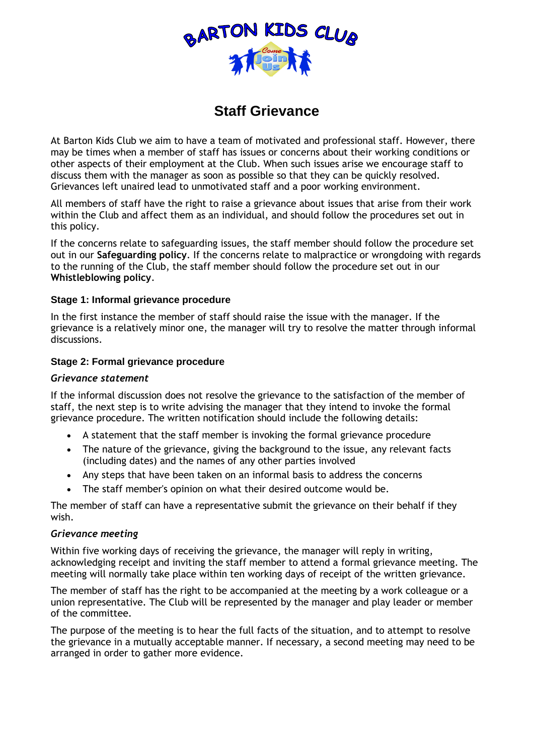

# **Staff Grievance**

At Barton Kids Club we aim to have a team of motivated and professional staff. However, there may be times when a member of staff has issues or concerns about their working conditions or other aspects of their employment at the Club. When such issues arise we encourage staff to discuss them with the manager as soon as possible so that they can be quickly resolved. Grievances left unaired lead to unmotivated staff and a poor working environment.

All members of staff have the right to raise a grievance about issues that arise from their work within the Club and affect them as an individual, and should follow the procedures set out in this policy.

If the concerns relate to safeguarding issues, the staff member should follow the procedure set out in our **Safeguarding policy**. If the concerns relate to malpractice or wrongdoing with regards to the running of the Club, the staff member should follow the procedure set out in our **Whistleblowing policy**.

## **Stage 1: Informal grievance procedure**

In the first instance the member of staff should raise the issue with the manager. If the grievance is a relatively minor one, the manager will try to resolve the matter through informal discussions.

## **Stage 2: Formal grievance procedure**

#### *Grievance statement*

If the informal discussion does not resolve the grievance to the satisfaction of the member of staff, the next step is to write advising the manager that they intend to invoke the formal grievance procedure. The written notification should include the following details:

- A statement that the staff member is invoking the formal grievance procedure
- The nature of the grievance, giving the background to the issue, any relevant facts (including dates) and the names of any other parties involved
- Any steps that have been taken on an informal basis to address the concerns
- The staff member's opinion on what their desired outcome would be.

The member of staff can have a representative submit the grievance on their behalf if they wish.

#### *Grievance meeting*

Within five working days of receiving the grievance, the manager will reply in writing, acknowledging receipt and inviting the staff member to attend a formal grievance meeting. The meeting will normally take place within ten working days of receipt of the written grievance.

The member of staff has the right to be accompanied at the meeting by a work colleague or a union representative. The Club will be represented by the manager and play leader or member of the committee.

The purpose of the meeting is to hear the full facts of the situation, and to attempt to resolve the grievance in a mutually acceptable manner. If necessary, a second meeting may need to be arranged in order to gather more evidence.